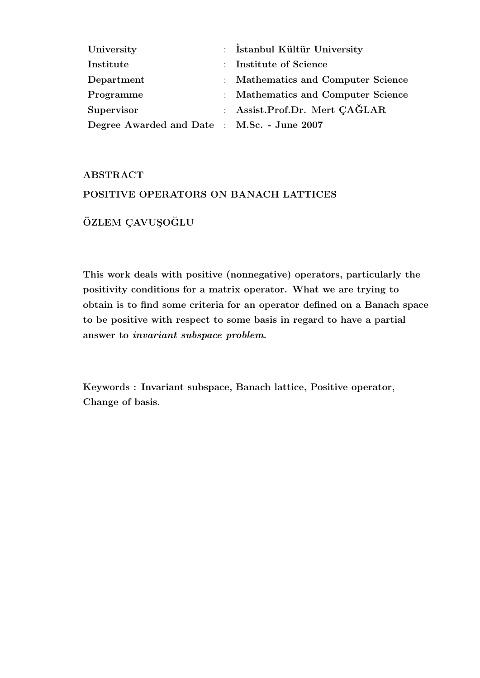| University                                  | : Istanbul Kültür University       |
|---------------------------------------------|------------------------------------|
| Institute                                   | : Institute of Science             |
| Department                                  | : Mathematics and Computer Science |
| Programme                                   | : Mathematics and Computer Science |
| Supervisor                                  | : Assist.Prof.Dr. Mert CAGLAR      |
| Degree Awarded and Date : M.Sc. - June 2007 |                                    |

#### ABSTRACT

#### POSITIVE OPERATORS ON BANACH LATTICES

### ÖZLEM ÇAVUŞOĞLU

This work deals with positive (nonnegative) operators, particularly the positivity conditions for a matrix operator. What we are trying to obtain is to find some criteria for an operator defined on a Banach space to be positive with respect to some basis in regard to have a partial answer to invariant subspace problem.

Keywords : Invariant subspace, Banach lattice, Positive operator, Change of basis.